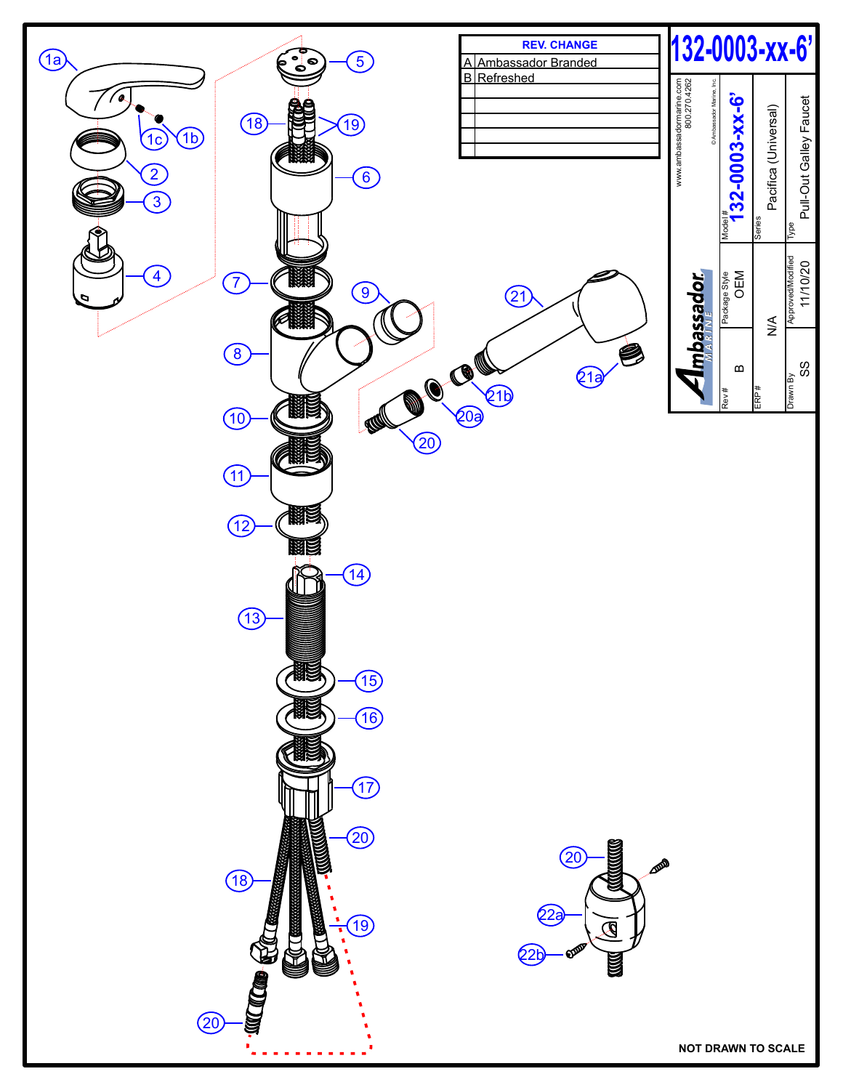